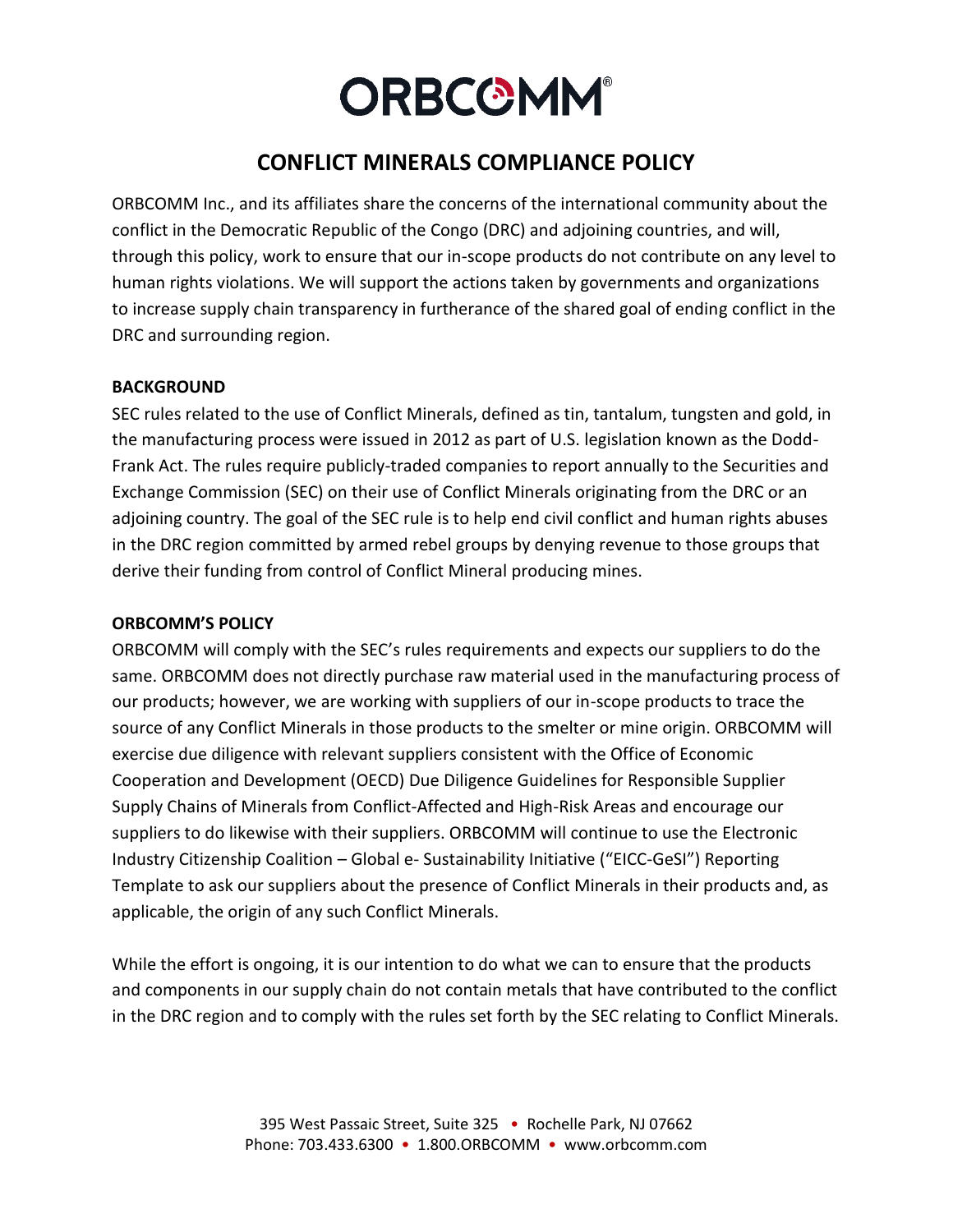# **ORBCOMM®**

# **CONFLICT MINERALS COMPLIANCE POLICY**

ORBCOMM Inc., and its affiliates share the concerns of the international community about the conflict in the Democratic Republic of the Congo (DRC) and adjoining countries, and will, through this policy, work to ensure that our in-scope products do not contribute on any level to human rights violations. We will support the actions taken by governments and organizations to increase supply chain transparency in furtherance of the shared goal of ending conflict in the DRC and surrounding region.

#### **BACKGROUND**

SEC rules related to the use of Conflict Minerals, defined as tin, tantalum, tungsten and gold, in the manufacturing process were issued in 2012 as part of U.S. legislation known as the Dodd-Frank Act. The rules require publicly-traded companies to report annually to the Securities and Exchange Commission (SEC) on their use of Conflict Minerals originating from the DRC or an adjoining country. The goal of the SEC rule is to help end civil conflict and human rights abuses in the DRC region committed by armed rebel groups by denying revenue to those groups that derive their funding from control of Conflict Mineral producing mines.

## **ORBCOMM'S POLICY**

ORBCOMM will comply with the SEC's rules requirements and expects our suppliers to do the same. ORBCOMM does not directly purchase raw material used in the manufacturing process of our products; however, we are working with suppliers of our in-scope products to trace the source of any Conflict Minerals in those products to the smelter or mine origin. ORBCOMM will exercise due diligence with relevant suppliers consistent with the Office of Economic Cooperation and Development (OECD) Due Diligence Guidelines for Responsible Supplier Supply Chains of Minerals from Conflict-Affected and High-Risk Areas and encourage our suppliers to do likewise with their suppliers. ORBCOMM will continue to use the Electronic Industry Citizenship Coalition – Global e- Sustainability Initiative ("EICC-GeSI") Reporting Template to ask our suppliers about the presence of Conflict Minerals in their products and, as applicable, the origin of any such Conflict Minerals.

While the effort is ongoing, it is our intention to do what we can to ensure that the products and components in our supply chain do not contain metals that have contributed to the conflict in the DRC region and to comply with the rules set forth by the SEC relating to Conflict Minerals.